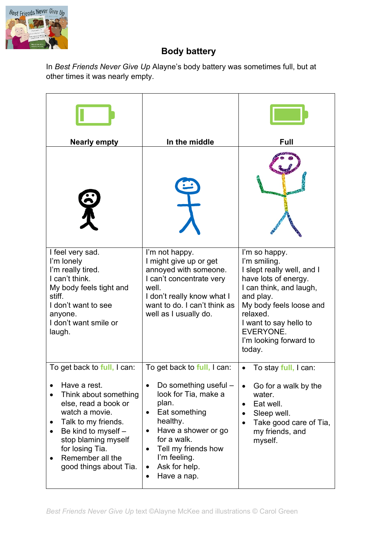

## **Body battery**

In *Best Friends Never Give Up* Alayne's body battery was sometimes full, but at other times it was nearly empty.

| <b>Nearly empty</b>                                                                                                                                                                                                                                  | In the middle                                                                                                                                                                                                                                                                       | <b>Full</b>                                                                                                                                                                                                                                   |
|------------------------------------------------------------------------------------------------------------------------------------------------------------------------------------------------------------------------------------------------------|-------------------------------------------------------------------------------------------------------------------------------------------------------------------------------------------------------------------------------------------------------------------------------------|-----------------------------------------------------------------------------------------------------------------------------------------------------------------------------------------------------------------------------------------------|
|                                                                                                                                                                                                                                                      |                                                                                                                                                                                                                                                                                     |                                                                                                                                                                                                                                               |
|                                                                                                                                                                                                                                                      |                                                                                                                                                                                                                                                                                     |                                                                                                                                                                                                                                               |
| I feel very sad.<br>I'm lonely<br>I'm really tired.<br>I can't think.<br>My body feels tight and<br>stiff.<br>I don't want to see<br>anyone.<br>I don't want smile or<br>laugh.                                                                      | I'm not happy.<br>I might give up or get<br>annoyed with someone.<br>I can't concentrate very<br>well.<br>I don't really know what I<br>want to do. I can't think as<br>well as I usually do.                                                                                       | I'm so happy.<br>I'm smiling.<br>I slept really well, and I<br>have lots of energy.<br>I can think, and laugh,<br>and play.<br>My body feels loose and<br>relaxed.<br>I want to say hello to<br>EVERYONE.<br>I'm looking forward to<br>today. |
| To get back to full, I can:<br>Have a rest.<br>Think about something<br>else, read a book or<br>watch a movie.<br>Talk to my friends.<br>Be kind to myself -<br>stop blaming myself<br>for losing Tia.<br>Remember all the<br>good things about Tia. | To get back to full, I can:<br>Do something useful -<br>$\bullet$<br>look for Tia, make a<br>plan.<br>Eat something<br>$\bullet$<br>healthy.<br>Have a shower or go<br>for a walk.<br>Tell my friends how<br>I'm feeling.<br>Ask for help.<br>$\bullet$<br>Have a nap.<br>$\bullet$ | To stay full, I can:<br>Go for a walk by the<br>$\bullet$<br>water.<br>Eat well.<br>$\bullet$<br>Sleep well.<br>$\bullet$<br>Take good care of Tia,<br>my friends, and<br>myself.                                                             |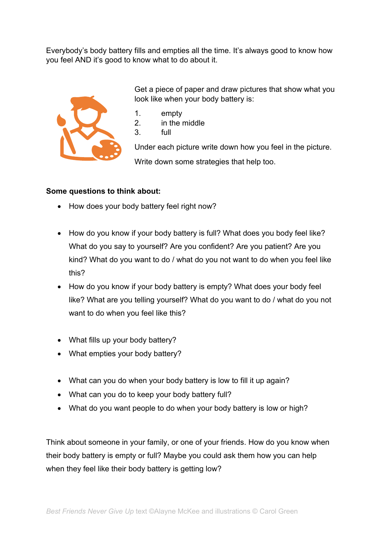Everybody's body battery fills and empties all the time. It's always good to know how you feel AND it's good to know what to do about it.



Get a piece of paper and draw pictures that show what you look like when your body battery is:

- 1. empty
- 2. in the middle
- 3. full

Under each picture write down how you feel in the picture. Write down some strategies that help too.

## **Some questions to think about:**

- How does your body battery feel right now?
- How do you know if your body battery is full? What does you body feel like? What do you say to yourself? Are you confident? Are you patient? Are you kind? What do you want to do / what do you not want to do when you feel like this?
- How do you know if your body battery is empty? What does your body feel like? What are you telling yourself? What do you want to do / what do you not want to do when you feel like this?
- What fills up your body battery?
- What empties your body battery?
- What can you do when your body battery is low to fill it up again?
- What can you do to keep your body battery full?
- What do you want people to do when your body battery is low or high?

Think about someone in your family, or one of your friends. How do you know when their body battery is empty or full? Maybe you could ask them how you can help when they feel like their body battery is getting low?